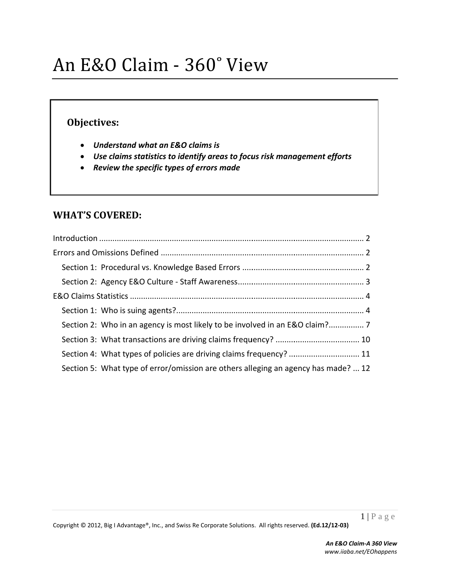### **Obje ectives:**

- *Understa and what an n E&O claims s is*
- *Use claim ms statistics to identify a areas to focu us risk mana agement eff forts*
- **•** Review the specific types of errors made

## **WHAT' 'S COVER ED:**

| Section 4: What types of policies are driving claims frequency?  11                |
|------------------------------------------------------------------------------------|
| Section 5: What type of error/omission are others alleging an agency has made?  12 |
|                                                                                    |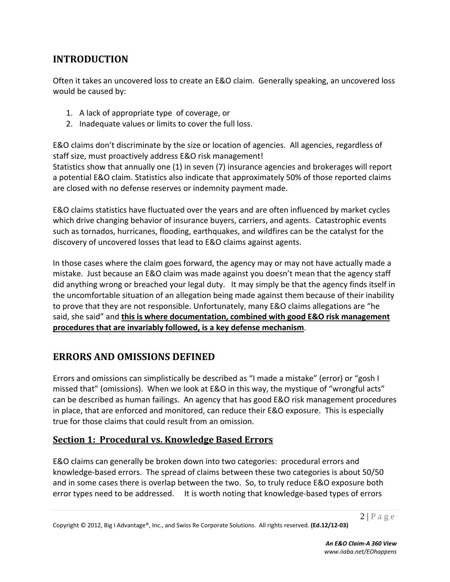# **INTRODUCTION**

Often it takes an uncovered loss to create an E&O claim. Generally speaking, an uncovered loss would be caused by:

- 1. A lack of appropriate type of coverage, or
- 2. Inadequate values or limits to cover the full loss.

E&O claims don't discriminate by the size or location of agencies. All agencies, regardless of staff size, must proactively address E&O risk management!

Statistics show that annually one (1) in seven (7) insurance agencies and brokerages will report a potential E&O claim. Statistics also indicate that approximately 50% of those reported claims are closed with no defense reserves or indemnity payment made.

E&O claims statistics have fluctuated over the years and are often influenced by market cycles which drive changing behavior of insurance buyers, carriers, and agents. Catastrophic events such as tornados, hurricanes, flooding, earthquakes, and wildfires can be the catalyst for the discovery of uncovered losses that lead to E&O claims against agents.

In those cases where the claim goes forward, the agency may or may not have actually made a mistake. Just because an E&O claim was made against you doesn't mean that the agency staff did anything wrong or breached your legal duty. It may simply be that the agency finds itself in the uncomfortable situation of an allegation being made against them because of their inability to prove that they are not responsible. Unfortunately, many E&O claims allegations are "he said, she said" and **this is where documentation, combined with good E&O risk management procedures that are invariably followed, is a key defense mechanism**.

## **ERRORS AND OMISSIONS DEFINED**

Errors and omissions can simplistically be described as "I made a mistake" (error) or "gosh I missed that" (omissions). When we look at E&O in this way, the mystique of "wrongful acts" can be described as human failings. An agency that has good E&O risk management procedures in place, that are enforced and monitored, can reduce their E&O exposure. This is especially true for those claims that could result from an omission.

## **Section 1: Procedural vs. Knowledge Based Errors**

E&O claims can generally be broken down into two categories: procedural errors and knowledge‐based errors. The spread of claims between these two categories is about 50/50 and in some cases there is overlap between the two. So, to truly reduce E&O exposure both error types need to be addressed. It is worth noting that knowledge‐based types of errors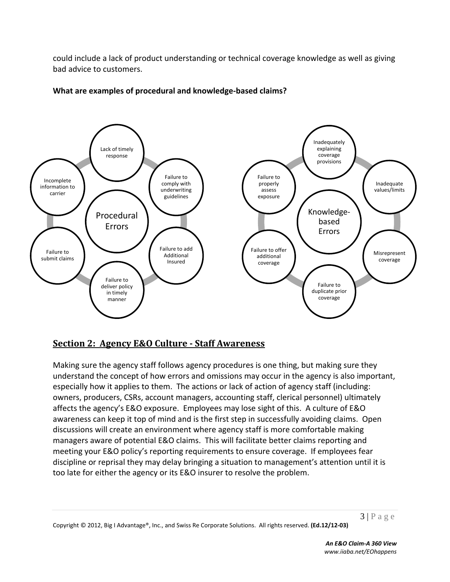could include a lack of product understanding or technical coverage knowledge as well as giving bad advice to customers.



#### **What are examples of procedural and knowledge‐based claims?**

#### **Section 2: Agency E&O Culture ‐ Staff Awareness**

Making sure the agency staff follows agency procedures is one thing, but making sure they understand the concept of how errors and omissions may occur in the agency is also important, especially how it applies to them. The actions or lack of action of agency staff (including: owners, producers, CSRs, account managers, accounting staff, clerical personnel) ultimately affects the agency's E&O exposure. Employees may lose sight of this. A culture of E&O awareness can keep it top of mind and is the first step in successfully avoiding claims. Open discussions will create an environment where agency staff is more comfortable making managers aware of potential E&O claims. This will facilitate better claims reporting and meeting your E&O policy's reporting requirements to ensure coverage. If employees fear discipline or reprisal they may delay bringing a situation to management's attention until it is too late for either the agency or its E&O insurer to resolve the problem.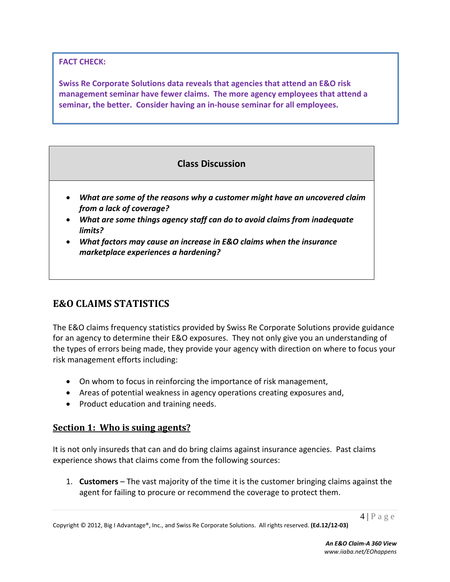**FACT CHECK:** 

**Swiss Re Corporate Solutions data reveals that agencies that attend an E&O risk management seminar have fewer claims. The more agency employees that attend a seminar, the better. Consider having an in‐house seminar for all employees.**

## **Class Discussion**

- *What are some of the reasons why a customer might have an uncovered claim from a lack of coverage?*
- *What are some things agency staff can do to avoid claims from inadequate limits?*
- *What factors may cause an increase in E&O claims when the insurance marketplace experiences a hardening?*

## **E&O CLAIMS STATISTICS**

The E&O claims frequency statistics provided by Swiss Re Corporate Solutions provide guidance for an agency to determine their E&O exposures. They not only give you an understanding of the types of errors being made, they provide your agency with direction on where to focus your risk management efforts including:

- On whom to focus in reinforcing the importance of risk management,
- Areas of potential weakness in agency operations creating exposures and,
- Product education and training needs.

#### **Section 1: Who is suing agents?**

It is not only insureds that can and do bring claims against insurance agencies. Past claims experience shows that claims come from the following sources:

1. **Customers** – The vast majority of the time it is the customer bringing claims against the agent for failing to procure or recommend the coverage to protect them.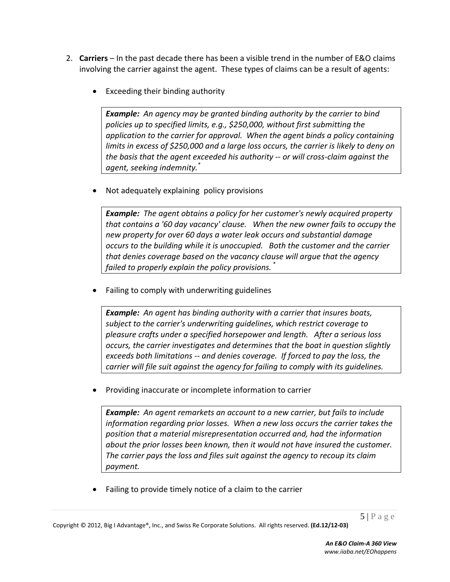- 2. **Carriers** In the past decade there has been a visible trend in the number of E&O claims involving the carrier against the agent. These types of claims can be a result of agents:
	- Exceeding their binding authority

*Example: An agency may be granted binding authority by the carrier to bind policies up to specified limits, e.g., \$250,000, without first submitting the application to the carrier for approval. When the agent binds a policy containing limits in excess of \$250,000 and a large loss occurs, the carrier is likely to deny on the basis that the agent exceeded his authority ‐‐ or will cross‐claim against the agent, seeking indemnity.\**

Not adequately explaining policy provisions

*Example: The agent obtains a policy for her customer's newly acquired property that contains a '60 day vacancy' clause. When the new owner fails to occupy the new property for over 60 days a water leak occurs and substantial damage occurs to the building while it is unoccupied. Both the customer and the carrier that denies coverage based on the vacancy clause will argue that the agency failed to properly explain the policy provisions. \**

Failing to comply with underwriting guidelines

*Example: An agent has binding authority with a carrier that insures boats, subject to the carrier's underwriting guidelines, which restrict coverage to pleasure crafts under a specified horsepower and length. After a serious loss occurs, the carrier investigates and determines that the boat in question slightly exceeds both limitations ‐‐ and denies coverage. If forced to pay the loss, the carrier will file suit against the agency for failing to comply with its guidelines.* 

Providing inaccurate or incomplete information to carrier

*Example: An agent remarkets an account to a new carrier, but fails to include information regarding prior losses. When a new loss occurs the carrier takes the position that a material misrepresentation occurred and, had the information about the prior losses been known, then it would not have insured the customer. The carrier pays the loss and files suit against the agency to recoup its claim payment.*

Failing to provide timely notice of a claim to the carrier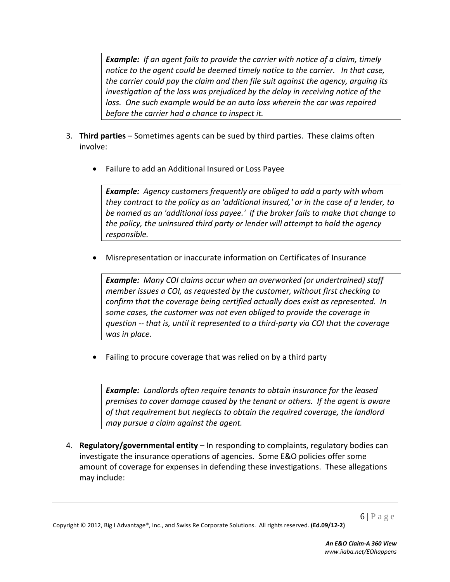*Example: If an agent fails to provide the carrier with notice of a claim, timely notice to the agent could be deemed timely notice to the carrier. In that case, the carrier could pay the claim and then file suit against the agency, arguing its investigation of the loss was prejudiced by the delay in receiving notice of the loss. One such example would be an auto loss wherein the car was repaired before the carrier had a chance to inspect it.*

- 3. **Third parties** Sometimes agents can be sued by third parties. These claims often involve:
	- Failure to add an Additional Insured or Loss Payee

*Example: Agency customers frequently are obliged to add a party with whom they contract to the policy as an 'additional insured,' or in the case of a lender, to be named as an 'additional loss payee.' If the broker fails to make that change to the policy, the uninsured third party or lender will attempt to hold the agency responsible.*

Misrepresentation or inaccurate information on Certificates of Insurance

*Example: Many COI claims occur when an overworked (or undertrained) staff member issues a COI, as requested by the customer, without first checking to confirm that the coverage being certified actually does exist as represented. In some cases, the customer was not even obliged to provide the coverage in question ‐‐ that is, until it represented to a third‐party via COI that the coverage was in place.*

Failing to procure coverage that was relied on by a third party

*Example: Landlords often require tenants to obtain insurance for the leased premises to cover damage caused by the tenant or others. If the agent is aware of that requirement but neglects to obtain the required coverage, the landlord may pursue a claim against the agent.*

4. **Regulatory/governmental entity** – In responding to complaints, regulatory bodies can investigate the insurance operations of agencies. Some E&O policies offer some amount of coverage for expenses in defending these investigations. These allegations may include: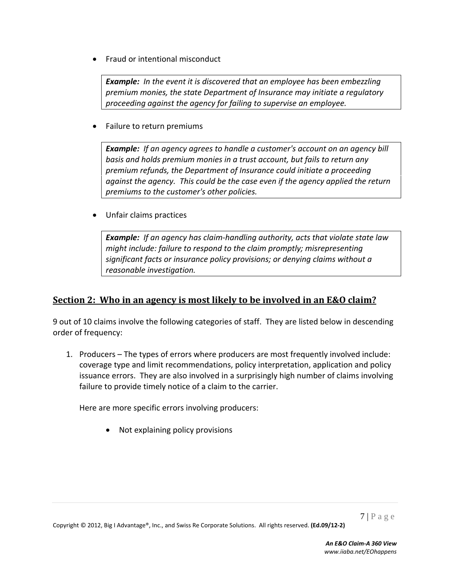Fraud or intentional misconduct

*Example: In the event it is discovered that an employee has been embezzling premium monies, the state Department of Insurance may initiate a regulatory proceeding against the agency for failing to supervise an employee.* 

Failure to return premiums

*Example: If an agency agrees to handle a customer's account on an agency bill basis and holds premium monies in a trust account, but fails to return any premium refunds, the Department of Insurance could initiate a proceeding against the agency. This could be the case even if the agency applied the return premiums to the customer's other policies.*

Unfair claims practices

*Example: If an agency has claim‐handling authority, acts that violate state law might include: failure to respond to the claim promptly; misrepresenting significant facts or insurance policy provisions; or denying claims without a reasonable investigation.*

#### **Section 2: Who in an agency is most likely to be involved in an E&O claim?**

9 out of 10 claims involve the following categories of staff. They are listed below in descending order of frequency:

1. Producers – The types of errors where producers are most frequently involved include: coverage type and limit recommendations, policy interpretation, application and policy issuance errors. They are also involved in a surprisingly high number of claims involving failure to provide timely notice of a claim to the carrier.

Here are more specific errors involving producers:

Not explaining policy provisions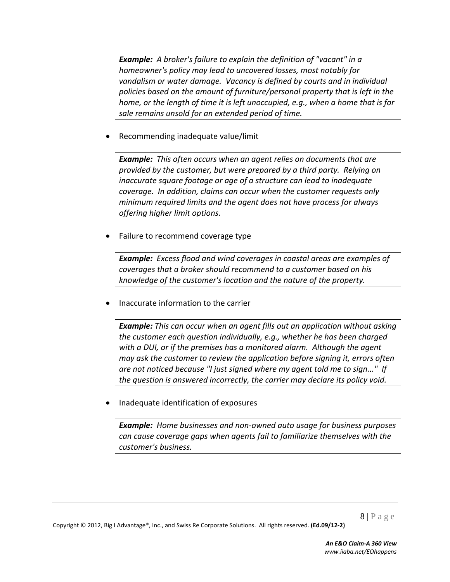*Example: A broker's failure to explain the definition of "vacant" in a homeowner's policy may lead to uncovered losses, most notably for vandalism or water damage. Vacancy is defined by courts and in individual policies based on the amount of furniture/personal property that is left in the home, or the length of time it is left unoccupied, e.g., when a home that is for sale remains unsold for an extended period of time.*

Recommending inadequate value/limit

*Example: This often occurs when an agent relies on documents that are provided by the customer, but were prepared by a third party. Relying on inaccurate square footage or age of a structure can lead to inadequate coverage. In addition, claims can occur when the customer requests only minimum required limits and the agent does not have process for always offering higher limit options.*

Failure to recommend coverage type

*Example: Excess flood and wind coverages in coastal areas are examples of coverages that a broker should recommend to a customer based on his knowledge of the customer's location and the nature of the property.*

Inaccurate information to the carrier

*Example: This can occur when an agent fills out an application without asking the customer each question individually, e.g., whether he has been charged with a DUI, or if the premises has a monitored alarm. Although the agent may ask the customer to review the application before signing it, errors often are not noticed because "I just signed where my agent told me to sign..." If the question is answered incorrectly, the carrier may declare its policy void.* 

Inadequate identification of exposures

*Example: Home businesses and non‐owned auto usage for business purposes can cause coverage gaps when agents fail to familiarize themselves with the customer's business.*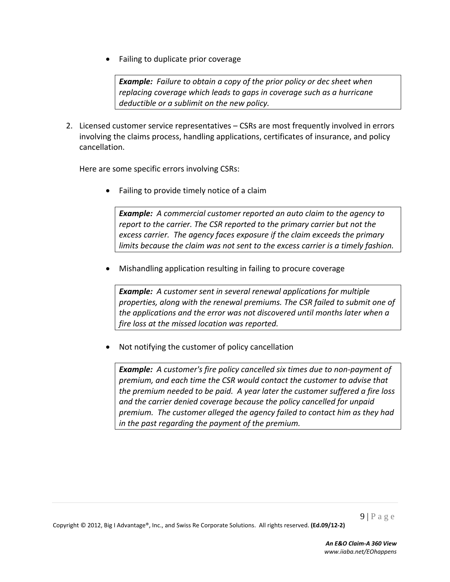Failing to duplicate prior coverage

*Example: Failure to obtain a copy of the prior policy or dec sheet when replacing coverage which leads to gaps in coverage such as a hurricane deductible or a sublimit on the new policy.*

2. Licensed customer service representatives – CSRs are most frequently involved in errors involving the claims process, handling applications, certificates of insurance, and policy cancellation.

Here are some specific errors involving CSRs:

Failing to provide timely notice of a claim

*Example: A commercial customer reported an auto claim to the agency to report to the carrier. The CSR reported to the primary carrier but not the excess carrier. The agency faces exposure if the claim exceeds the primary limits because the claim was not sent to the excess carrier is a timely fashion.*

Mishandling application resulting in failing to procure coverage

*Example: A customer sent in several renewal applications for multiple properties, along with the renewal premiums. The CSR failed to submit one of the applications and the error was not discovered until months later when a fire loss at the missed location was reported.*

Not notifying the customer of policy cancellation

*Example: A customer's fire policy cancelled six times due to non‐payment of premium, and each time the CSR would contact the customer to advise that the premium needed to be paid. A year later the customer suffered a fire loss and the carrier denied coverage because the policy cancelled for unpaid premium. The customer alleged the agency failed to contact him as they had in the past regarding the payment of the premium.*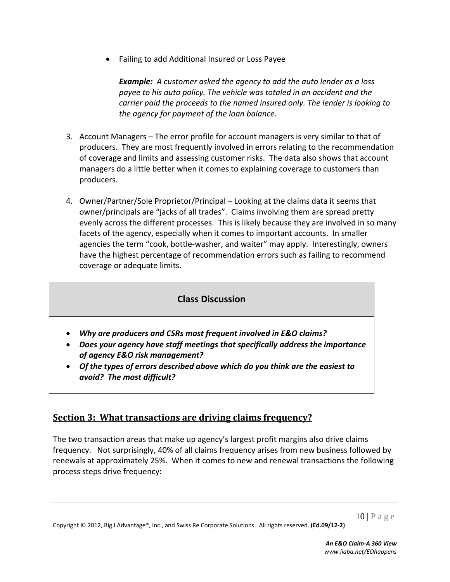Failing to add Additional Insured or Loss Payee

*Example: A customer asked the agency to add the auto lender as a loss payee to his auto policy. The vehicle was totaled in an accident and the carrier paid the proceeds to the named insured only. The lender is looking to the agency for payment of the loan balance.*

- 3. Account Managers The error profile for account managers is very similar to that of producers. They are most frequently involved in errors relating to the recommendation of coverage and limits and assessing customer risks. The data also shows that account managers do a little better when it comes to explaining coverage to customers than producers.
- 4. Owner/Partner/Sole Proprietor/Principal Looking at the claims data it seems that owner/principals are "jacks of all trades". Claims involving them are spread pretty evenly across the different processes. This is likely because they are involved in so many facets of the agency, especially when it comes to important accounts. In smaller agencies the term "cook, bottle‐washer, and waiter" may apply. Interestingly, owners have the highest percentage of recommendation errors such as failing to recommend coverage or adequate limits.

## **Class Discussion**

- *Why are producers and CSRs most frequent involved in E&O claims?*
- *Does your agency have staff meetings that specifically address the importance of agency E&O risk management?*
- *Of the types of errors described above which do you think are the easiest to avoid? The most difficult?*

## **Section 3: What transactions are driving claims frequency?**

The two transaction areas that make up agency's largest profit margins also drive claims frequency. Not surprisingly, 40% of all claims frequency arises from new business followed by renewals at approximately 25%. When it comes to new and renewal transactions the following process steps drive frequency: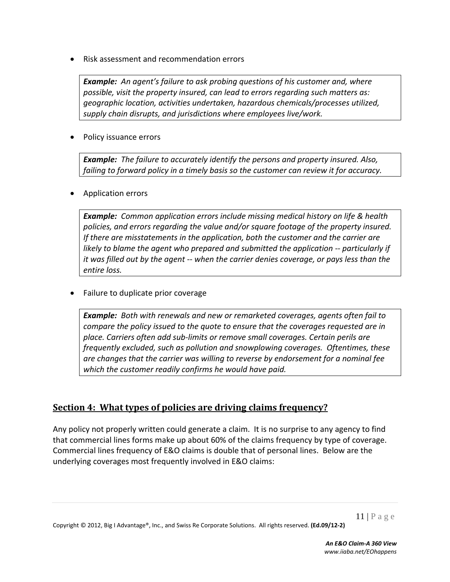Risk assessment and recommendation errors

*Example: An agent's failure to ask probing questions of his customer and, where possible, visit the property insured, can lead to errors regarding such matters as: geographic location, activities undertaken, hazardous chemicals/processes utilized, supply chain disrupts, and jurisdictions where employees live/work.*

Policy issuance errors

*Example: The failure to accurately identify the persons and property insured. Also, failing to forward policy in a timely basis so the customer can review it for accuracy.*

Application errors

*Example: Common application errors include missing medical history on life & health policies, and errors regarding the value and/or square footage of the property insured. If there are misstatements in the application, both the customer and the carrier are likely to blame the agent who prepared and submitted the application ‐‐ particularly if it was filled out by the agent ‐‐ when the carrier denies coverage, or pays less than the entire loss.*

Failure to duplicate prior coverage

*Example: Both with renewals and new or remarketed coverages, agents often fail to compare the policy issued to the quote to ensure that the coverages requested are in place. Carriers often add sub‐limits or remove small coverages. Certain perils are frequently excluded, such as pollution and snowplowing coverages. Oftentimes, these are changes that the carrier was willing to reverse by endorsement for a nominal fee which the customer readily confirms he would have paid.*

#### **<u>Section 4: What types of policies are driving claims frequency?**</u>

Any policy not properly written could generate a claim. It is no surprise to any agency to find that commercial lines forms make up about 60% of the claims frequency by type of coverage. Commercial lines frequency of E&O claims is double that of personal lines. Below are the underlying coverages most frequently involved in E&O claims: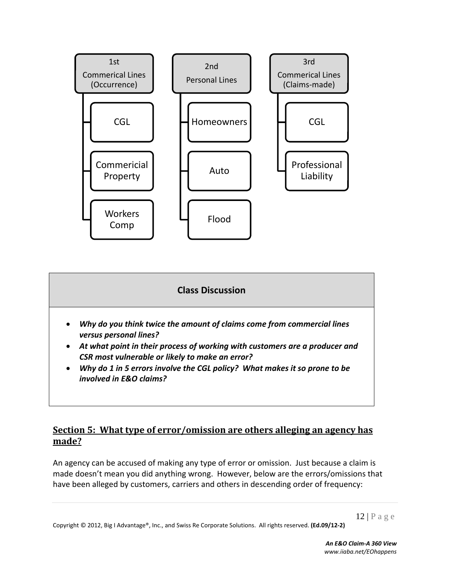

### **Class Discussion**

- *Why do you think twice the amount of claims come from commercial lines versus personal lines?*
- *At what point in their process of working with customers are a producer and CSR most vulnerable or likely to make an error?*
- *Why do 1 in 5 errors involve the CGL policy? What makes it so prone to be involved in E&O claims?*

### **Section 5: What type of error/omission are others alleging an agency has** made?

An agency can be accused of making any type of error or omission. Just because a claim is made doesn't mean you did anything wrong. However, below are the errors/omissions that have been alleged by customers, carriers and others in descending order of frequency: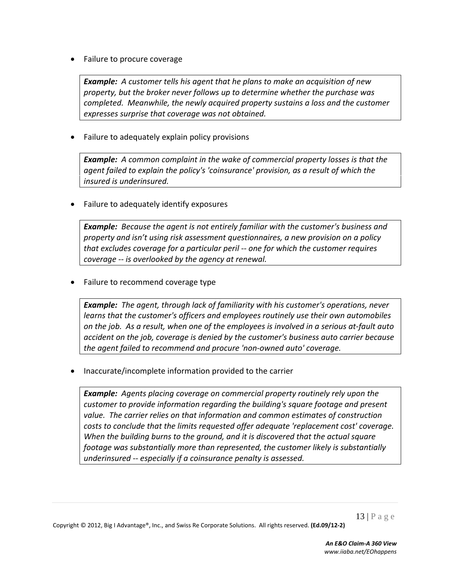Failure to procure coverage

*Example: A customer tells his agent that he plans to make an acquisition of new property, but the broker never follows up to determine whether the purchase was completed. Meanwhile, the newly acquired property sustains a loss and the customer expresses surprise that coverage was not obtained.*

Failure to adequately explain policy provisions

*Example: A common complaint in the wake of commercial property losses is that the agent failed to explain the policy's 'coinsurance' provision, as a result of which the insured is underinsured.*

Failure to adequately identify exposures

*Example: Because the agent is not entirely familiar with the customer's business and property and isn't using risk assessment questionnaires, a new provision on a policy that excludes coverage for a particular peril ‐‐ one for which the customer requires coverage ‐‐ is overlooked by the agency at renewal.*

Failure to recommend coverage type

*Example: The agent, through lack of familiarity with his customer's operations, never learns that the customer's officers and employees routinely use their own automobiles* on the job. As a result, when one of the employees is involved in a serious at-fault auto *accident on the job, coverage is denied by the customer's business auto carrier because the agent failed to recommend and procure 'non‐owned auto' coverage.*

Inaccurate/incomplete information provided to the carrier

*Example: Agents placing coverage on commercial property routinely rely upon the customer to provide information regarding the building's square footage and present value. The carrier relies on that information and common estimates of construction costs to conclude that the limits requested offer adequate 'replacement cost' coverage. When the building burns to the ground, and it is discovered that the actual square footage was substantially more than represented, the customer likely is substantially underinsured ‐‐ especially if a coinsurance penalty is assessed.*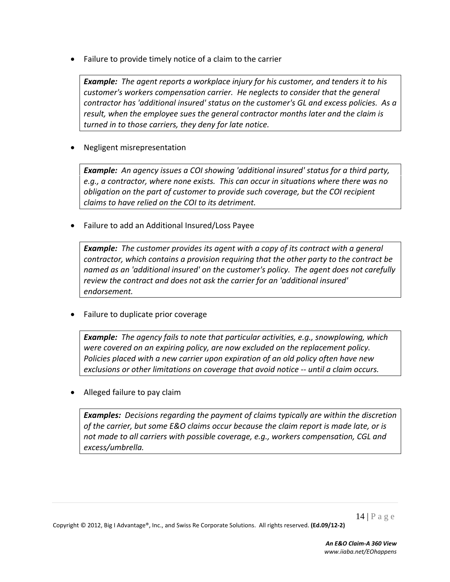Failure to provide timely notice of a claim to the carrier

*Example: The agent reports a workplace injury for his customer, and tenders it to his customer's workers compensation carrier. He neglects to consider that the general contractor has 'additional insured' status on the customer's GL and excess policies. As a result, when the employee sues the general contractor months later and the claim is turned in to those carriers, they deny for late notice.*

Negligent misrepresentation

*Example: An agency issues a COI showing 'additional insured' status for a third party, e.g., a contractor, where none exists. This can occur in situations where there was no obligation on the part of customer to provide such coverage, but the COI recipient claims to have relied on the COI to its detriment.*

Failure to add an Additional Insured/Loss Payee

*Example: The customer provides its agent with a copy of its contract with a general contractor, which contains a provision requiring that the other party to the contract be named as an 'additional insured' on the customer's policy. The agent does not carefully review the contract and does not ask the carrier for an 'additional insured' endorsement.*

Failure to duplicate prior coverage

*Example: The agency fails to note that particular activities, e.g., snowplowing, which were covered on an expiring policy, are now excluded on the replacement policy. Policies placed with a new carrier upon expiration of an old policy often have new exclusions or other limitations on coverage that avoid notice ‐‐ until a claim occurs.*

Alleged failure to pay claim

*Examples: Decisions regarding the payment of claims typically are within the discretion of the carrier, but some E&O claims occur because the claim report is made late, or is not made to all carriers with possible coverage, e.g., workers compensation, CGL and excess/umbrella.*